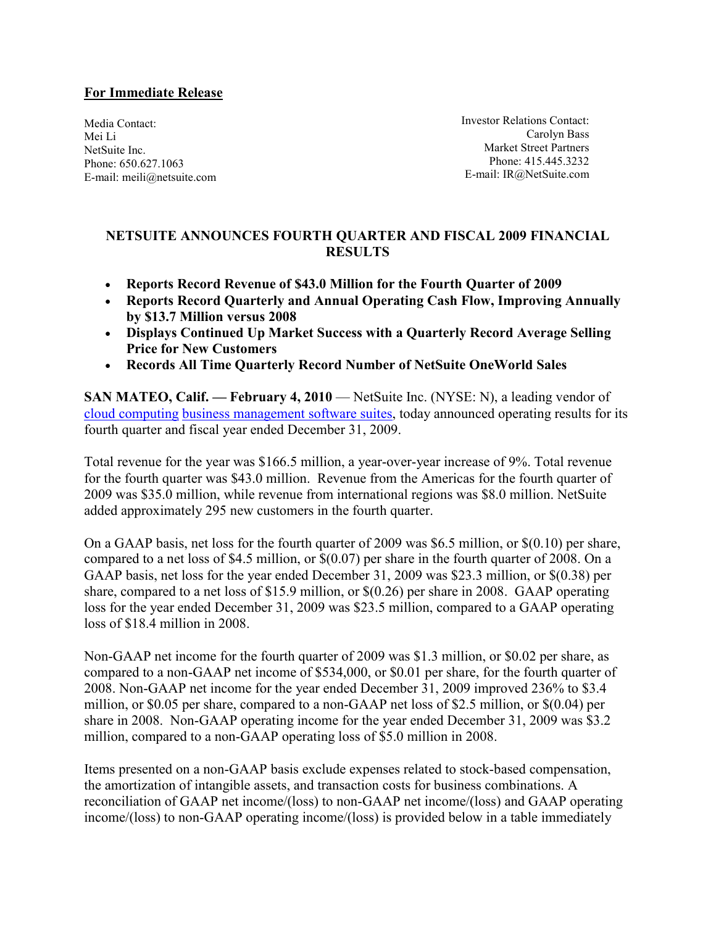### For Immediate Release

Media Contact: Mei Li NetSuite Inc. Phone: 650.627.1063 E-mail: meili@netsuite.com Investor Relations Contact: Carolyn Bass Market Street Partners Phone: 415.445.3232 E-mail: IR@NetSuite.com

# NETSUITE ANNOUNCES FOURTH QUARTER AND FISCAL 2009 FINANCIAL **RESULTS**

- Reports Record Revenue of \$43.0 Million for the Fourth Quarter of 2009
- Reports Record Quarterly and Annual Operating Cash Flow, Improving Annually by \$13.7 Million versus 2008
- Displays Continued Up Market Success with a Quarterly Record Average Selling Price for New Customers
- Records All Time Quarterly Record Number of NetSuite OneWorld Sales

SAN MATEO, Calif. — February 4, 2010 — NetSuite Inc. (NYSE: N), a leading vendor of cloud computing business management software suites, today announced operating results for its fourth quarter and fiscal year ended December 31, 2009.

Total revenue for the year was \$166.5 million, a year-over-year increase of 9%. Total revenue for the fourth quarter was \$43.0 million. Revenue from the Americas for the fourth quarter of 2009 was \$35.0 million, while revenue from international regions was \$8.0 million. NetSuite added approximately 295 new customers in the fourth quarter.

On a GAAP basis, net loss for the fourth quarter of 2009 was \$6.5 million, or \$(0.10) per share, compared to a net loss of \$4.5 million, or \$(0.07) per share in the fourth quarter of 2008. On a GAAP basis, net loss for the year ended December 31, 2009 was \$23.3 million, or \$(0.38) per share, compared to a net loss of \$15.9 million, or \$(0.26) per share in 2008. GAAP operating loss for the year ended December 31, 2009 was \$23.5 million, compared to a GAAP operating loss of \$18.4 million in 2008.

Non-GAAP net income for the fourth quarter of 2009 was \$1.3 million, or \$0.02 per share, as compared to a non-GAAP net income of \$534,000, or \$0.01 per share, for the fourth quarter of 2008. Non-GAAP net income for the year ended December 31, 2009 improved 236% to \$3.4 million, or \$0.05 per share, compared to a non-GAAP net loss of \$2.5 million, or \$(0.04) per share in 2008. Non-GAAP operating income for the year ended December 31, 2009 was \$3.2 million, compared to a non-GAAP operating loss of \$5.0 million in 2008.

Items presented on a non-GAAP basis exclude expenses related to stock-based compensation, the amortization of intangible assets, and transaction costs for business combinations. A reconciliation of GAAP net income/(loss) to non-GAAP net income/(loss) and GAAP operating income/(loss) to non-GAAP operating income/(loss) is provided below in a table immediately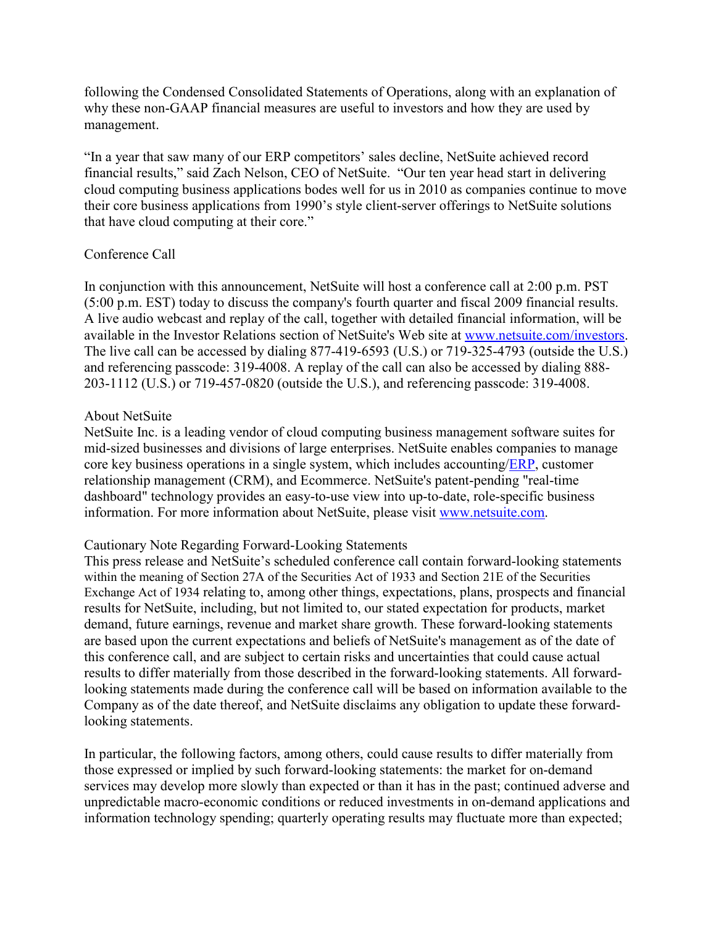following the Condensed Consolidated Statements of Operations, along with an explanation of why these non-GAAP financial measures are useful to investors and how they are used by management.

"In a year that saw many of our ERP competitors' sales decline, NetSuite achieved record financial results," said Zach Nelson, CEO of NetSuite. "Our ten year head start in delivering cloud computing business applications bodes well for us in 2010 as companies continue to move their core business applications from 1990's style client-server offerings to NetSuite solutions that have cloud computing at their core."

# Conference Call

In conjunction with this announcement, NetSuite will host a conference call at 2:00 p.m. PST (5:00 p.m. EST) today to discuss the company's fourth quarter and fiscal 2009 financial results. A live audio webcast and replay of the call, together with detailed financial information, will be available in the Investor Relations section of NetSuite's Web site at www.netsuite.com/investors. The live call can be accessed by dialing 877-419-6593 (U.S.) or 719-325-4793 (outside the U.S.) and referencing passcode: 319-4008. A replay of the call can also be accessed by dialing 888- 203-1112 (U.S.) or 719-457-0820 (outside the U.S.), and referencing passcode: 319-4008.

# About NetSuite

NetSuite Inc. is a leading vendor of cloud computing business management software suites for mid-sized businesses and divisions of large enterprises. NetSuite enables companies to manage core key business operations in a single system, which includes accounting/ERP, customer relationship management (CRM), and Ecommerce. NetSuite's patent-pending "real-time dashboard" technology provides an easy-to-use view into up-to-date, role-specific business information. For more information about NetSuite, please visit www.netsuite.com.

# Cautionary Note Regarding Forward-Looking Statements

This press release and NetSuite's scheduled conference call contain forward-looking statements within the meaning of Section 27A of the Securities Act of 1933 and Section 21E of the Securities Exchange Act of 1934 relating to, among other things, expectations, plans, prospects and financial results for NetSuite, including, but not limited to, our stated expectation for products, market demand, future earnings, revenue and market share growth. These forward-looking statements are based upon the current expectations and beliefs of NetSuite's management as of the date of this conference call, and are subject to certain risks and uncertainties that could cause actual results to differ materially from those described in the forward-looking statements. All forwardlooking statements made during the conference call will be based on information available to the Company as of the date thereof, and NetSuite disclaims any obligation to update these forwardlooking statements.

In particular, the following factors, among others, could cause results to differ materially from those expressed or implied by such forward-looking statements: the market for on-demand services may develop more slowly than expected or than it has in the past; continued adverse and unpredictable macro-economic conditions or reduced investments in on-demand applications and information technology spending; quarterly operating results may fluctuate more than expected;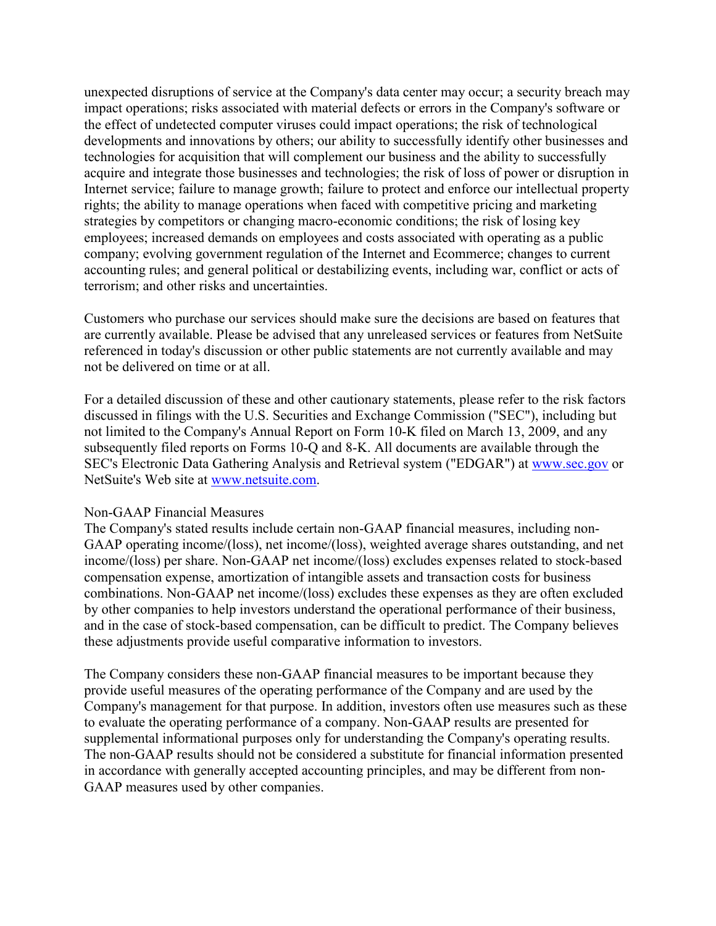unexpected disruptions of service at the Company's data center may occur; a security breach may impact operations; risks associated with material defects or errors in the Company's software or the effect of undetected computer viruses could impact operations; the risk of technological developments and innovations by others; our ability to successfully identify other businesses and technologies for acquisition that will complement our business and the ability to successfully acquire and integrate those businesses and technologies; the risk of loss of power or disruption in Internet service; failure to manage growth; failure to protect and enforce our intellectual property rights; the ability to manage operations when faced with competitive pricing and marketing strategies by competitors or changing macro-economic conditions; the risk of losing key employees; increased demands on employees and costs associated with operating as a public company; evolving government regulation of the Internet and Ecommerce; changes to current accounting rules; and general political or destabilizing events, including war, conflict or acts of terrorism; and other risks and uncertainties.

Customers who purchase our services should make sure the decisions are based on features that are currently available. Please be advised that any unreleased services or features from NetSuite referenced in today's discussion or other public statements are not currently available and may not be delivered on time or at all.

For a detailed discussion of these and other cautionary statements, please refer to the risk factors discussed in filings with the U.S. Securities and Exchange Commission ("SEC"), including but not limited to the Company's Annual Report on Form 10-K filed on March 13, 2009, and any subsequently filed reports on Forms 10-Q and 8-K. All documents are available through the SEC's Electronic Data Gathering Analysis and Retrieval system ("EDGAR") at www.sec.gov or NetSuite's Web site at www.netsuite.com.

### Non-GAAP Financial Measures

The Company's stated results include certain non-GAAP financial measures, including non-GAAP operating income/(loss), net income/(loss), weighted average shares outstanding, and net income/(loss) per share. Non-GAAP net income/(loss) excludes expenses related to stock-based compensation expense, amortization of intangible assets and transaction costs for business combinations. Non-GAAP net income/(loss) excludes these expenses as they are often excluded by other companies to help investors understand the operational performance of their business, and in the case of stock-based compensation, can be difficult to predict. The Company believes these adjustments provide useful comparative information to investors.

The Company considers these non-GAAP financial measures to be important because they provide useful measures of the operating performance of the Company and are used by the Company's management for that purpose. In addition, investors often use measures such as these to evaluate the operating performance of a company. Non-GAAP results are presented for supplemental informational purposes only for understanding the Company's operating results. The non-GAAP results should not be considered a substitute for financial information presented in accordance with generally accepted accounting principles, and may be different from non-GAAP measures used by other companies.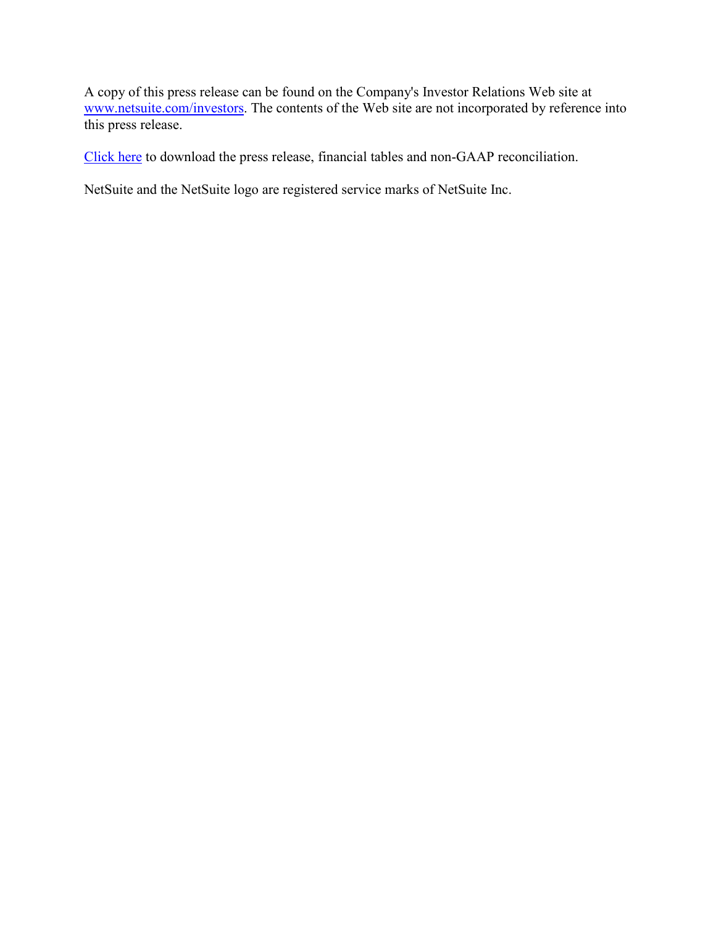A copy of this press release can be found on the Company's Investor Relations Web site at www.netsuite.com/investors. The contents of the Web site are not incorporated by reference into this press release.

Click here to download the press release, financial tables and non-GAAP reconciliation.

NetSuite and the NetSuite logo are registered service marks of NetSuite Inc.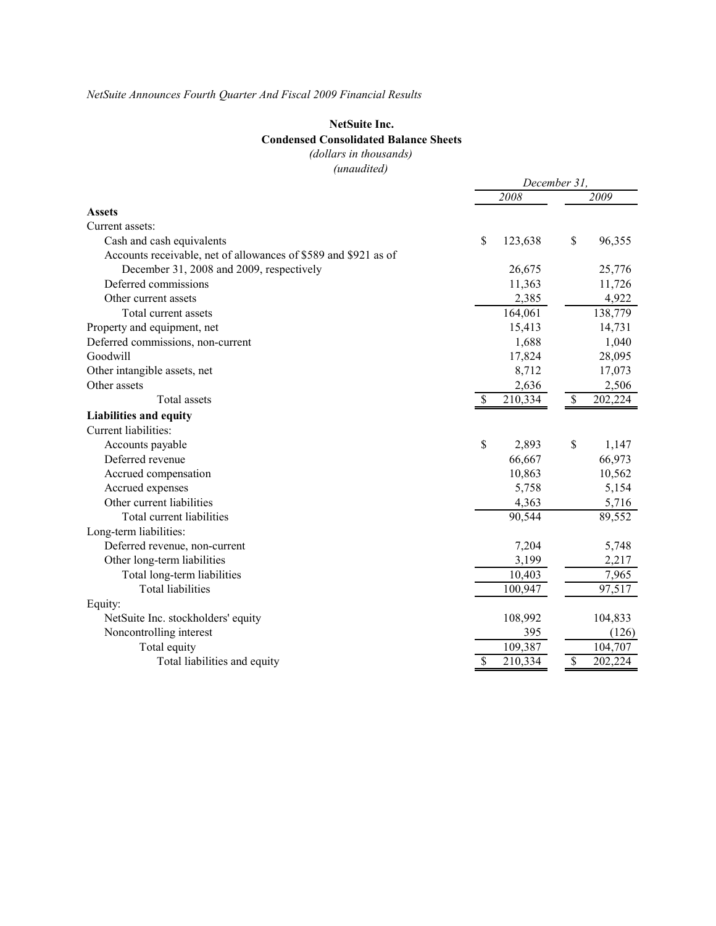### NetSuite Inc.

### Condensed Consolidated Balance Sheets

(dollars in thousands)

(unaudited)

| 2008<br>2009<br><b>Assets</b><br>Current assets:<br>\$<br>\$<br>96,355<br>123,638<br>Cash and cash equivalents<br>Accounts receivable, net of allowances of \$589 and \$921 as of<br>December 31, 2008 and 2009, respectively<br>26,675<br>25,776<br>Deferred commissions<br>11,363<br>11,726<br>2,385<br>4,922<br>Other current assets<br>138,779<br>Total current assets<br>164,061<br>15,413<br>Property and equipment, net<br>14,731<br>Deferred commissions, non-current<br>1,040<br>1,688<br>Goodwill<br>28,095<br>17,824<br>Other intangible assets, net<br>8,712<br>17,073 |
|------------------------------------------------------------------------------------------------------------------------------------------------------------------------------------------------------------------------------------------------------------------------------------------------------------------------------------------------------------------------------------------------------------------------------------------------------------------------------------------------------------------------------------------------------------------------------------|
|                                                                                                                                                                                                                                                                                                                                                                                                                                                                                                                                                                                    |
|                                                                                                                                                                                                                                                                                                                                                                                                                                                                                                                                                                                    |
|                                                                                                                                                                                                                                                                                                                                                                                                                                                                                                                                                                                    |
|                                                                                                                                                                                                                                                                                                                                                                                                                                                                                                                                                                                    |
|                                                                                                                                                                                                                                                                                                                                                                                                                                                                                                                                                                                    |
|                                                                                                                                                                                                                                                                                                                                                                                                                                                                                                                                                                                    |
|                                                                                                                                                                                                                                                                                                                                                                                                                                                                                                                                                                                    |
|                                                                                                                                                                                                                                                                                                                                                                                                                                                                                                                                                                                    |
|                                                                                                                                                                                                                                                                                                                                                                                                                                                                                                                                                                                    |
|                                                                                                                                                                                                                                                                                                                                                                                                                                                                                                                                                                                    |
|                                                                                                                                                                                                                                                                                                                                                                                                                                                                                                                                                                                    |
|                                                                                                                                                                                                                                                                                                                                                                                                                                                                                                                                                                                    |
|                                                                                                                                                                                                                                                                                                                                                                                                                                                                                                                                                                                    |
| 2,636<br>2,506<br>Other assets                                                                                                                                                                                                                                                                                                                                                                                                                                                                                                                                                     |
| 202,224<br>Total assets<br>210,334<br>\$<br>\$                                                                                                                                                                                                                                                                                                                                                                                                                                                                                                                                     |
| <b>Liabilities and equity</b>                                                                                                                                                                                                                                                                                                                                                                                                                                                                                                                                                      |
| Current liabilities:                                                                                                                                                                                                                                                                                                                                                                                                                                                                                                                                                               |
| \$<br>\$<br>Accounts payable<br>2,893<br>1,147                                                                                                                                                                                                                                                                                                                                                                                                                                                                                                                                     |
| Deferred revenue<br>66,973<br>66,667                                                                                                                                                                                                                                                                                                                                                                                                                                                                                                                                               |
| 10,562<br>Accrued compensation<br>10,863                                                                                                                                                                                                                                                                                                                                                                                                                                                                                                                                           |
| Accrued expenses<br>5,758<br>5,154                                                                                                                                                                                                                                                                                                                                                                                                                                                                                                                                                 |
| Other current liabilities<br>4,363<br>5,716                                                                                                                                                                                                                                                                                                                                                                                                                                                                                                                                        |
| 90,544<br>Total current liabilities<br>89,552                                                                                                                                                                                                                                                                                                                                                                                                                                                                                                                                      |
| Long-term liabilities:                                                                                                                                                                                                                                                                                                                                                                                                                                                                                                                                                             |
| 7,204<br>Deferred revenue, non-current<br>5,748                                                                                                                                                                                                                                                                                                                                                                                                                                                                                                                                    |
| Other long-term liabilities<br>2,217<br>3,199                                                                                                                                                                                                                                                                                                                                                                                                                                                                                                                                      |
| Total long-term liabilities<br>10,403<br>7,965                                                                                                                                                                                                                                                                                                                                                                                                                                                                                                                                     |
| <b>Total liabilities</b><br>97,517<br>100,947                                                                                                                                                                                                                                                                                                                                                                                                                                                                                                                                      |
| Equity:                                                                                                                                                                                                                                                                                                                                                                                                                                                                                                                                                                            |
| NetSuite Inc. stockholders' equity<br>108,992<br>104,833                                                                                                                                                                                                                                                                                                                                                                                                                                                                                                                           |
| 395<br>Noncontrolling interest<br>(126)                                                                                                                                                                                                                                                                                                                                                                                                                                                                                                                                            |
| 109,387<br>Total equity<br>104,707                                                                                                                                                                                                                                                                                                                                                                                                                                                                                                                                                 |
| \$<br>210,334<br>\$<br>202,224<br>Total liabilities and equity                                                                                                                                                                                                                                                                                                                                                                                                                                                                                                                     |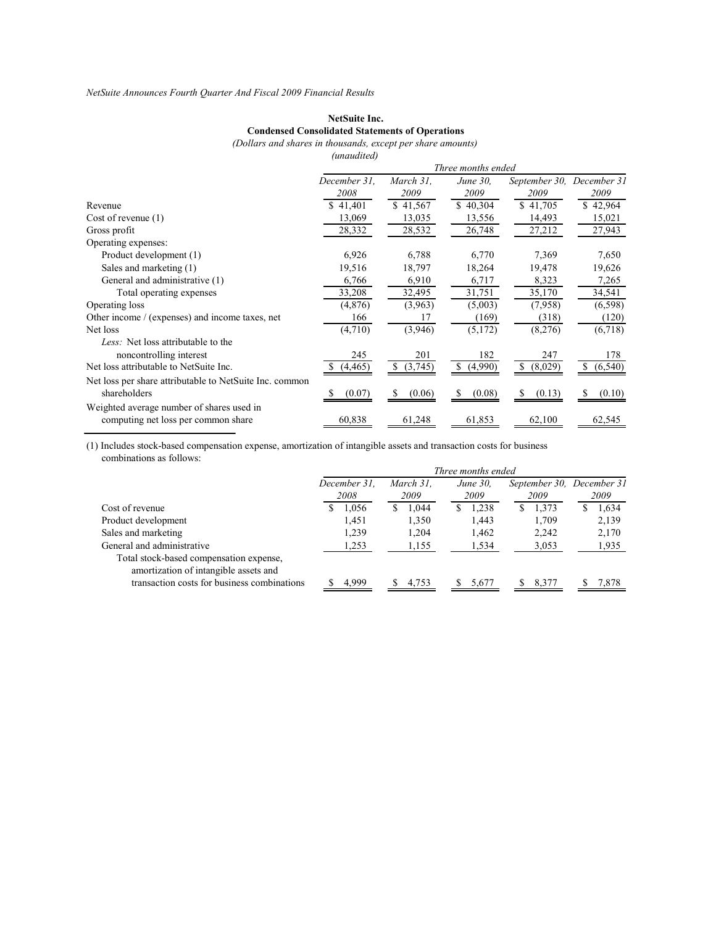### NetSuite Inc. Condensed Consolidated Statements of Operations

(Dollars and shares in thousands, except per share amounts) (unaudited)

|                                                         | Three months ended |               |               |               |                |  |
|---------------------------------------------------------|--------------------|---------------|---------------|---------------|----------------|--|
|                                                         | December 31.       | March 31.     | June 30.      | September 30. | December 31    |  |
|                                                         | 2008               | 2009          | 2009          | 2009          | 2009           |  |
| Revenue                                                 | \$41,401           | \$41,567      | \$40,304      | \$41,705      | \$42,964       |  |
| Cost of revenue $(1)$                                   | 13,069             | 13,035        | 13,556        | 14,493        | 15,021         |  |
| Gross profit                                            | 28,332             | 28,532        | 26,748        | 27,212        | 27,943         |  |
| Operating expenses:                                     |                    |               |               |               |                |  |
| Product development (1)                                 | 6,926              | 6,788         | 6,770         | 7,369         | 7,650          |  |
| Sales and marketing (1)                                 | 19,516             | 18,797        | 18,264        | 19,478        | 19,626         |  |
| General and administrative (1)                          | 6,766              | 6,910         | 6,717         | 8,323         | 7,265          |  |
| Total operating expenses                                | 33,208             | 32,495        | 31,751        | 35,170        | 34,541         |  |
| Operating loss                                          | (4,876)            | (3,963)       | (5,003)       | (7,958)       | (6, 598)       |  |
| Other income / (expenses) and income taxes, net         | 166                | 17            | (169)         | (318)         | (120)          |  |
| Net loss                                                | (4,710)            | (3,946)       | (5,172)       | (8,276)       | (6,718)        |  |
| Less: Net loss attributable to the                      |                    |               |               |               |                |  |
| noncontrolling interest                                 | 245                | 201           | 182           | 247           | 178            |  |
| Net loss attributable to NetSuite Inc.                  | (4, 465)           | (3,745)<br>S. | (4,990)<br>S. | (8,029)<br>S. | (6, 540)<br>S. |  |
| Net loss per share attributable to NetSuite Inc. common |                    |               |               |               |                |  |
| shareholders                                            | (0.07)             | (0.06)        | (0.08)        | (0.13)        | (0.10)         |  |
| Weighted average number of shares used in               |                    |               |               |               |                |  |
| computing net loss per common share                     | 60,838             | 61,248        | 61,853        | 62,100        | 62,545         |  |

(1) Includes stock-based compensation expense, amortization of intangible assets and transaction costs for business combinations as follows:

|                                                                                  | Three months ended |              |   |           |   |                 |   |                           |  |       |
|----------------------------------------------------------------------------------|--------------------|--------------|---|-----------|---|-----------------|---|---------------------------|--|-------|
|                                                                                  |                    | December 31. |   | March 31. |   | <i>June 30.</i> |   | September 30, December 31 |  |       |
|                                                                                  |                    | 2008         |   | 2009      |   | 2009            |   | 2009                      |  | 2009  |
| Cost of revenue                                                                  | C                  | 1,056        | S | 1,044     | S | 1,238           | S | 1,373                     |  | 1,634 |
| Product development                                                              |                    | 1.451        |   | 1,350     |   | 1.443           |   | 1.709                     |  | 2,139 |
| Sales and marketing                                                              |                    | 1,239        |   | 1,204     |   | 1,462           |   | 2,242                     |  | 2,170 |
| General and administrative                                                       |                    | 1,253        |   | 1,155     |   | 1,534           |   | 3,053                     |  | 1,935 |
| Total stock-based compensation expense,<br>amortization of intangible assets and |                    |              |   |           |   |                 |   |                           |  |       |
| transaction costs for business combinations                                      |                    | 4.999        |   | 4.753     |   | 5.677           |   | 8.377                     |  | 7.878 |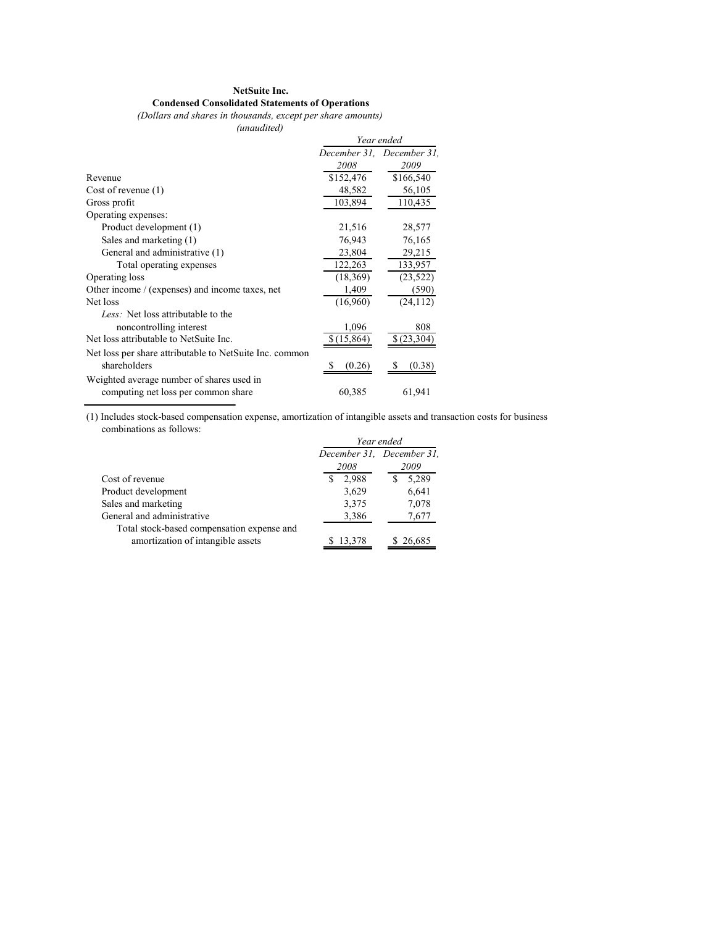#### NetSuite Inc. Condensed Consolidated Statements of Operations

(Dollars and shares in thousands, except per share amounts)

(unaudited)

| $1$ <i>unumuvun</i>                                     |            |                           |
|---------------------------------------------------------|------------|---------------------------|
|                                                         |            | Year ended                |
|                                                         |            | December 31, December 31, |
|                                                         | 2008       | 2009                      |
| Revenue                                                 | \$152,476  | \$166,540                 |
| Cost of revenue $(1)$                                   | 48,582     | 56,105                    |
| Gross profit                                            | 103,894    | 110,435                   |
| Operating expenses:                                     |            |                           |
| Product development (1)                                 | 21,516     | 28,577                    |
| Sales and marketing (1)                                 | 76,943     | 76,165                    |
| General and administrative (1)                          | 23,804     | 29,215                    |
| Total operating expenses                                | 122,263    | 133,957                   |
| Operating loss                                          | (18, 369)  | (23, 522)                 |
| Other income / (expenses) and income taxes, net         | 1,409      | (590)                     |
| Net loss                                                | (16,960)   | (24, 112)                 |
| Less: Net loss attributable to the                      |            |                           |
| noncontrolling interest                                 | 1,096      | 808                       |
| Net loss attributable to NetSuite Inc.                  | \$(15,864) | \$(23, 304)               |
| Net loss per share attributable to NetSuite Inc. common |            |                           |
| shareholders                                            | (0.26)     | (0.38)                    |
| Weighted average number of shares used in               |            |                           |
| computing net loss per common share                     | 60,385     | 61,941                    |

(1) Includes stock-based compensation expense, amortization of intangible assets and transaction costs for business combinations as follows:

|                                            | Year ended                |          |  |  |  |
|--------------------------------------------|---------------------------|----------|--|--|--|
|                                            | December 31, December 31, |          |  |  |  |
|                                            | 2008                      | 2009     |  |  |  |
| Cost of revenue                            | 2,988                     | 5,289    |  |  |  |
| Product development                        | 3,629                     | 6,641    |  |  |  |
| Sales and marketing                        | 3,375                     | 7,078    |  |  |  |
| General and administrative                 | 3,386                     | 7,677    |  |  |  |
| Total stock-based compensation expense and |                           |          |  |  |  |
| amortization of intangible assets          | \$13,378                  | \$26,685 |  |  |  |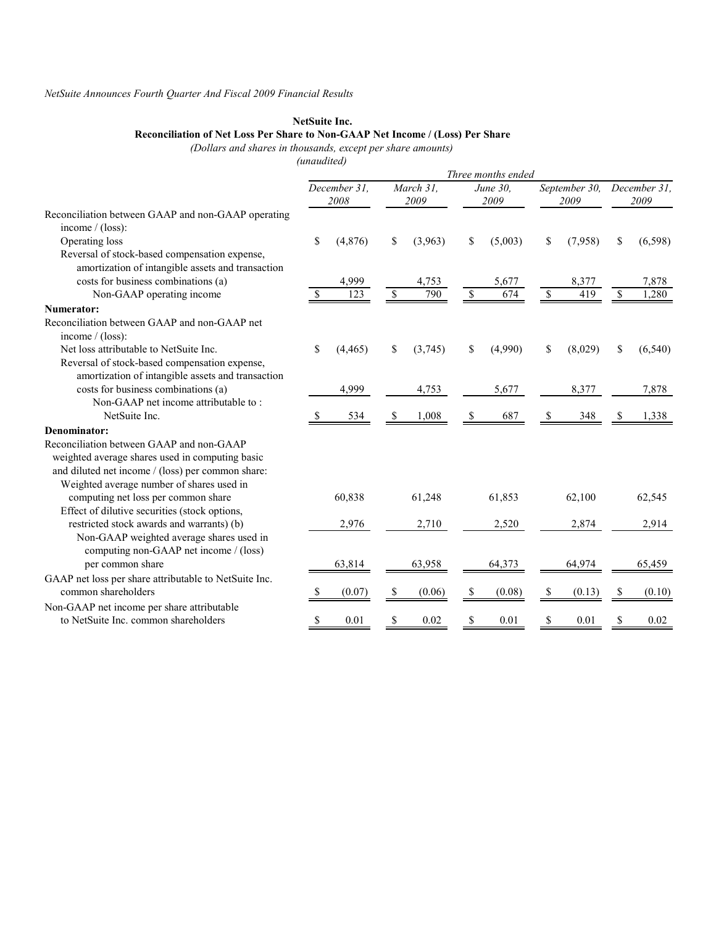#### NetSuite Inc.

#### Reconciliation of Net Loss Per Share to Non-GAAP Net Income / (Loss) Per Share

(Dollars and shares in thousands, except per share amounts)

(unaudited)

|                                                                                      | Three months ended |                      |    |                   |               |                  |    |                       |              |                      |
|--------------------------------------------------------------------------------------|--------------------|----------------------|----|-------------------|---------------|------------------|----|-----------------------|--------------|----------------------|
|                                                                                      |                    | December 31,<br>2008 |    | March 31,<br>2009 |               | June 30,<br>2009 |    | September 30,<br>2009 |              | December 31,<br>2009 |
| Reconciliation between GAAP and non-GAAP operating<br>income / (loss):               |                    |                      |    |                   |               |                  |    |                       |              |                      |
| Operating loss                                                                       | \$                 | (4, 876)             | \$ | (3,963)           | \$            | (5,003)          | \$ | (7,958)               | S            | (6, 598)             |
| Reversal of stock-based compensation expense,                                        |                    |                      |    |                   |               |                  |    |                       |              |                      |
| amortization of intangible assets and transaction                                    |                    |                      |    |                   |               |                  |    |                       |              |                      |
| costs for business combinations (a)                                                  |                    | 4,999                |    | 4,753             |               | 5,677            |    | 8,377                 |              | 7,878                |
| Non-GAAP operating income                                                            |                    | 123                  | -S | 790               | <sup>\$</sup> | 674              | \$ | 419                   | $\mathbb{S}$ | 1,280                |
| Numerator:                                                                           |                    |                      |    |                   |               |                  |    |                       |              |                      |
| Reconciliation between GAAP and non-GAAP net<br>income / (loss):                     |                    |                      |    |                   |               |                  |    |                       |              |                      |
| Net loss attributable to NetSuite Inc.                                               | \$                 | (4, 465)             | S  | (3,745)           | \$            | (4,990)          | \$ | (8,029)               | \$           | (6, 540)             |
| Reversal of stock-based compensation expense,                                        |                    |                      |    |                   |               |                  |    |                       |              |                      |
| amortization of intangible assets and transaction                                    |                    |                      |    |                   |               |                  |    |                       |              |                      |
| costs for business combinations (a)                                                  |                    | 4,999                |    | 4,753             |               | 5,677            |    | 8,377                 |              | 7,878                |
| Non-GAAP net income attributable to:                                                 |                    |                      |    |                   |               |                  |    |                       |              |                      |
| NetSuite Inc.                                                                        | 2.                 | 534                  | S. | 1,008             | S             | 687              | S  | 348                   | S            | 1,338                |
| Denominator:                                                                         |                    |                      |    |                   |               |                  |    |                       |              |                      |
| Reconciliation between GAAP and non-GAAP                                             |                    |                      |    |                   |               |                  |    |                       |              |                      |
| weighted average shares used in computing basic                                      |                    |                      |    |                   |               |                  |    |                       |              |                      |
| and diluted net income / (loss) per common share:                                    |                    |                      |    |                   |               |                  |    |                       |              |                      |
| Weighted average number of shares used in                                            |                    |                      |    |                   |               |                  |    |                       |              |                      |
| computing net loss per common share<br>Effect of dilutive securities (stock options, |                    | 60,838               |    | 61,248            |               | 61,853           |    | 62,100                |              | 62,545               |
| restricted stock awards and warrants) (b)                                            |                    | 2,976                |    | 2,710             |               | 2,520            |    | 2,874                 |              | 2,914                |
| Non-GAAP weighted average shares used in                                             |                    |                      |    |                   |               |                  |    |                       |              |                      |
| computing non-GAAP net income / (loss)                                               |                    |                      |    |                   |               |                  |    |                       |              |                      |
| per common share                                                                     |                    | 63,814               |    | 63,958            |               | 64,373           |    | 64,974                |              | 65,459               |
| GAAP net loss per share attributable to NetSuite Inc.                                |                    |                      |    |                   |               |                  |    |                       |              |                      |
| common shareholders                                                                  | S                  | (0.07)               | S  | (0.06)            | \$            | (0.08)           | \$ | (0.13)                | \$           | (0.10)               |
| Non-GAAP net income per share attributable                                           |                    |                      |    |                   |               |                  |    |                       |              |                      |
| to NetSuite Inc. common shareholders                                                 | \$                 | 0.01                 | \$ | 0.02              | \$            | 0.01             | \$ | 0.01                  | \$           | 0.02                 |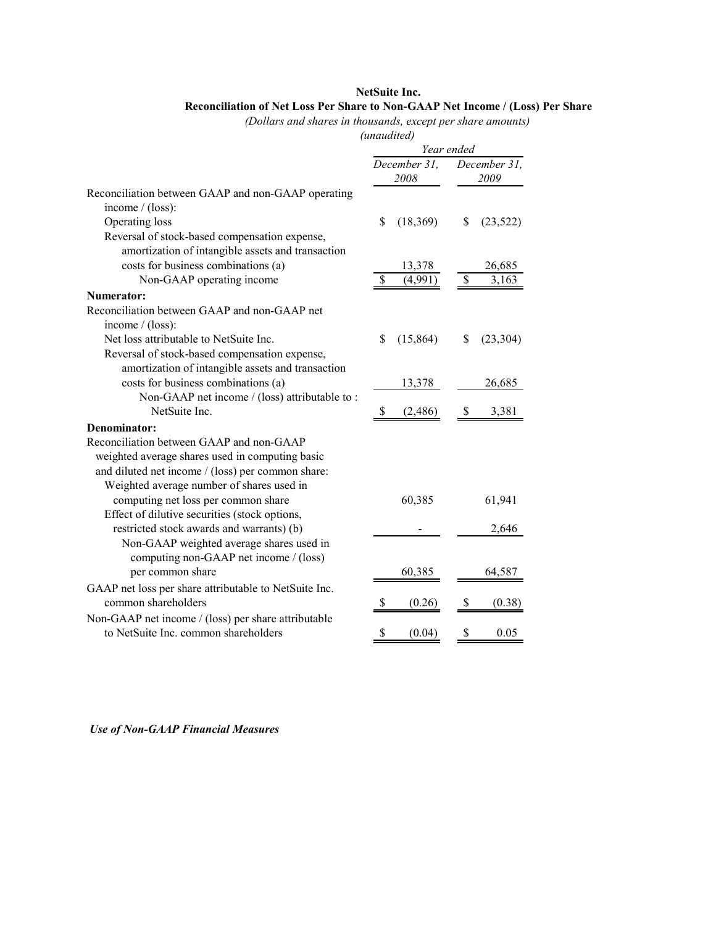### NetSuite Inc. Reconciliation of Net Loss Per Share to Non-GAAP Net Income / (Loss) Per Share

(Dollars and shares in thousands, except per share amounts)

### (unaudited)

|                                                                              | Year ended     |                 |  |  |
|------------------------------------------------------------------------------|----------------|-----------------|--|--|
|                                                                              |                |                 |  |  |
|                                                                              | December 31,   | December 31,    |  |  |
|                                                                              | 2008           | 2009            |  |  |
| Reconciliation between GAAP and non-GAAP operating                           |                |                 |  |  |
| income $/$ (loss):                                                           |                |                 |  |  |
| Operating loss                                                               | \$<br>(18,369) | \$<br>(23, 522) |  |  |
| Reversal of stock-based compensation expense,                                |                |                 |  |  |
| amortization of intangible assets and transaction                            |                |                 |  |  |
| costs for business combinations (a)                                          | 13,378         | 26,685          |  |  |
| Non-GAAP operating income                                                    | \$<br>(4,991)  | \$<br>3,163     |  |  |
| Numerator:                                                                   |                |                 |  |  |
| Reconciliation between GAAP and non-GAAP net                                 |                |                 |  |  |
| income / (loss):                                                             |                |                 |  |  |
| Net loss attributable to NetSuite Inc.                                       | \$<br>(15,864) | \$<br>(23, 304) |  |  |
| Reversal of stock-based compensation expense,                                |                |                 |  |  |
| amortization of intangible assets and transaction                            |                |                 |  |  |
| costs for business combinations (a)                                          | 13,378         | 26,685          |  |  |
| Non-GAAP net income / (loss) attributable to:                                |                |                 |  |  |
| NetSuite Inc.                                                                | (2,486)<br>- S | 3,381<br>\$     |  |  |
| Denominator:                                                                 |                |                 |  |  |
| Reconciliation between GAAP and non-GAAP                                     |                |                 |  |  |
| weighted average shares used in computing basic                              |                |                 |  |  |
| and diluted net income / (loss) per common share:                            |                |                 |  |  |
| Weighted average number of shares used in                                    |                |                 |  |  |
| computing net loss per common share                                          | 60,385         | 61,941          |  |  |
| Effect of dilutive securities (stock options,                                |                |                 |  |  |
| restricted stock awards and warrants) (b)                                    |                | 2,646           |  |  |
| Non-GAAP weighted average shares used in                                     |                |                 |  |  |
| computing non-GAAP net income / (loss)                                       |                |                 |  |  |
| per common share                                                             | 60,385         | 64,587          |  |  |
|                                                                              |                |                 |  |  |
| GAAP net loss per share attributable to NetSuite Inc.<br>common shareholders |                |                 |  |  |
|                                                                              | (0.26)         | (0.38)          |  |  |
| Non-GAAP net income / (loss) per share attributable                          |                |                 |  |  |
| to NetSuite Inc. common shareholders                                         | \$<br>(0.04)   | 0.05<br>\$      |  |  |

Use of Non-GAAP Financial Measures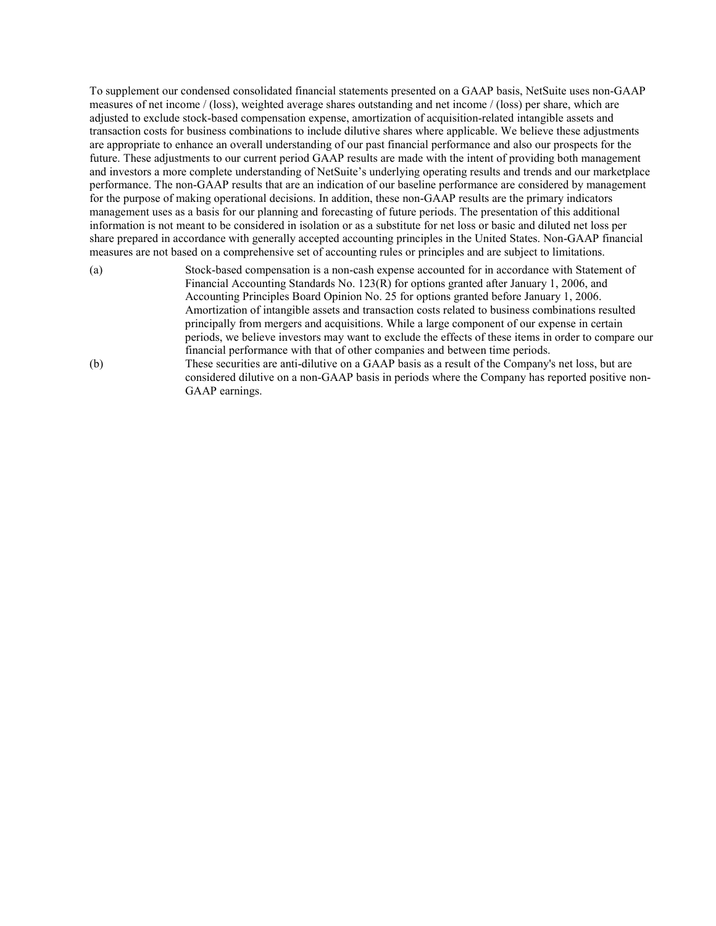To supplement our condensed consolidated financial statements presented on a GAAP basis, NetSuite uses non-GAAP measures of net income / (loss), weighted average shares outstanding and net income / (loss) per share, which are adjusted to exclude stock-based compensation expense, amortization of acquisition-related intangible assets and transaction costs for business combinations to include dilutive shares where applicable. We believe these adjustments are appropriate to enhance an overall understanding of our past financial performance and also our prospects for the future. These adjustments to our current period GAAP results are made with the intent of providing both management and investors a more complete understanding of NetSuite's underlying operating results and trends and our marketplace performance. The non-GAAP results that are an indication of our baseline performance are considered by management for the purpose of making operational decisions. In addition, these non-GAAP results are the primary indicators management uses as a basis for our planning and forecasting of future periods. The presentation of this additional information is not meant to be considered in isolation or as a substitute for net loss or basic and diluted net loss per share prepared in accordance with generally accepted accounting principles in the United States. Non-GAAP financial measures are not based on a comprehensive set of accounting rules or principles and are subject to limitations.

- (a) Stock-based compensation is a non-cash expense accounted for in accordance with Statement of Financial Accounting Standards No. 123(R) for options granted after January 1, 2006, and Accounting Principles Board Opinion No. 25 for options granted before January 1, 2006. Amortization of intangible assets and transaction costs related to business combinations resulted principally from mergers and acquisitions. While a large component of our expense in certain periods, we believe investors may want to exclude the effects of these items in order to compare our financial performance with that of other companies and between time periods. (b) These securities are anti-dilutive on a GAAP basis as a result of the Company's net loss, but are considered dilutive on a non-GAAP basis in periods where the Company has reported positive non-
	- GAAP earnings.